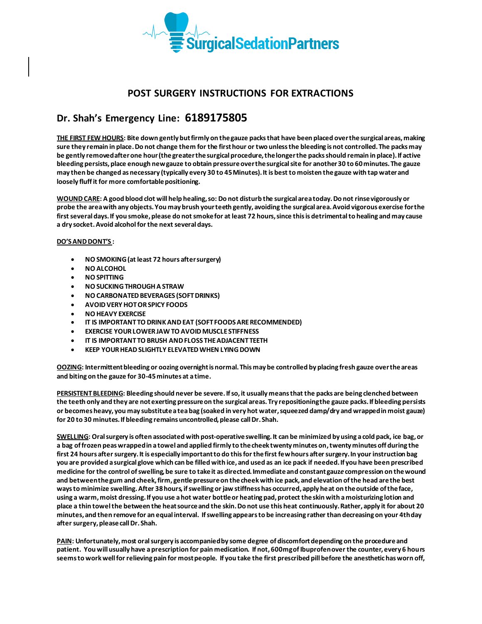

## **POST SURGERY INSTRUCTIONS FOR EXTRACTIONS**

## **Dr. Shah's Emergency Line: 6189175805**

**THE FIRST FEW HOURS: Bite down gently but firmly on the gauze packs that have been placed over the surgical areas, making sure they remain in place. Do not change them for the first hour or two unless the bleeding is not controlled. The packs may be gently removed after one hour (the greater the surgical procedure, the longer the packs should remain in place). If active bleeding persists, place enough new gauze to obtain pressure over the surgical site for another 30 to 60 minutes. The gauze may then be changed as necessary (typically every 30 to 45 Minutes). It is best to moisten the gauze with tap water and loosely fluff it for more comfortable positioning.**

**WOUND CARE: A good blood clot will help healing, so: Do not disturb the surgical area today. Do not rinse vigorously or probe the area with any objects. You may brush your teeth gently, avoiding the surgical area. Avoid vigorous exercise for the first several days. If you smoke, please do not smoke for at least 72 hours, since this is detrimental to healing and may cause a dry socket. Avoid alcohol for the next several days.** 

## **DO'S AND DONT'S :**

- **NO SMOKING (at least 72 hours after surgery)**
- **NO ALCOHOL**
- **NO SPITTING**
- **NO SUCKING THROUGH A STRAW**
- **NO CARBONATED BEVERAGES (SOFT DRINKS)**
- **AVOID VERY HOT OR SPICY FOODS**
- **NO HEAVY EXERCISE**
- **IT IS IMPORTANT TO DRINK AND EAT (SOFT FOODS ARE RECOMMENDED)**
- **EXERCISE YOUR LOWER JAW TO AVOID MUSCLE STIFFNESS**
- **IT IS IMPORTANT TO BRUSH AND FLOSS THE ADJACENT TEETH**
- **KEEP YOUR HEAD SLIGHTLY ELEVATED WHEN LYING DOWN**

**OOZING: Intermittent bleeding or oozing overnight is normal. This may be controlled by placing fresh gauze over the areas and biting on the gauze for 30-45 minutes at a time.**

**PERSISTENT BLEEDING: Bleeding should never be severe. If so, it usually means that the packs are being clenched between the teeth only and they are not exerting pressure on the surgical areas. Try repositioning the gauze packs. If bleeding persists or becomes heavy, you may substitute a tea bag (soaked in very hot water, squeezed damp/dry and wrapped in moist gauze) for 20 to 30 minutes. If bleeding remains uncontrolled, please call Dr. Shah.**

**SWELLING: Oral surgery is often associated with post-operative swelling. It can be minimized by using a cold pack, ice bag,or a bag of frozen peas wrapped in a towel and applied firmly to the cheek twenty minutes on,twenty minutes off during the first 24 hours after surgery. It is especially important to do this for the first few hours after surgery. In your instruction bag you are provided a surgical glove which can be filled with ice, and used as an ice pack if needed. If you have been prescribed medicine for the control of swelling, be sure to take it as directed. Immediate and constant gauz***e* **compression on the wound and between the gum and cheek, firm, gentle pressure on the cheek with ice pack, and elevation of the head are the best ways to minimize swelling. After 38 hours, if swelling or jaw stiffness has occurred, apply heat on the outside of the face, using a warm, moist dressing. If you use a hot water bottle or heating pad, protect the skin with a moisturizing lotion and place a thin towel the between the heat source and the skin. Do not use this heat continuously. Rather, apply it for about 20 minutes, and then remove for an equal interval. If swelling appears to be increasing rather than decreasing on your 4th day after surgery, please call Dr. Shah.**

**PAIN: Unfortunately, most oral surgery is accompanied by some degree of discomfort depending on the procedure and**  patient. You will usually have a prescription for pain medication. If not, 600mg of Ibuprofen over the counter, every 6 hours **seems to work well for relieving pain for most people. If you take the first prescribed pill before the anesthetic has worn off,**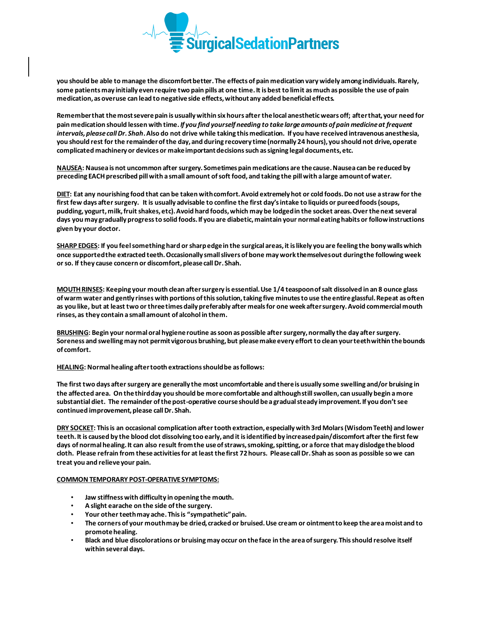

**you should be able to manage the discomfort better. The effects of pain medication vary widely among individuals. Rarely, some patients may initially even require two pain pills at one time. It is best to limit as much as possible the use of pain medication, as overuse can lead to negative side effects, without any added beneficial effects.** 

**Remember that the most severe pain is usually within six hours after the local anesthetic wears off; after that, your need for pain medication should lessen with time.** *If you find yourself needing to take large amounts of pain medicine at frequent intervals, please call Dr. Shah***. Also do not drive while taking this medication. If you have received intravenous anesthesia, you should rest for the remainder of the day, and during recovery time (normally 24 hours), you should not drive, operate complicated machinery or devices or make important decisions such as signing legal documents, etc.**

**NAUSEA: Nausea is not uncommon after surgery. Sometimes pain medications are the cause. Nausea can be reduced by preceding EACH prescribed pill with a small amount of soft food, and taking the pill with a large amount of water.**

**DIET: Eat any nourishing food that can be taken with comfort. Avoid extremely hot or cold foods. Do not use a straw for the first few days after surgery. It is usually advisable to confine the first day's intake to liquids or pureed foods (soups, pudding, yogurt, milk, fruit shakes, etc). Avoid hard foods, which may be lodged in the socket areas. Over the next several days you may gradually progress to solid foods. If you are diabetic, maintain your normal eating habits or follow instructions given by your doctor.**

**SHARP EDGES: If you feel something hard or sharp edge in the surgical areas, it is likely you are feeling the bony walls which once supported the extracted teeth. Occasionally small slivers of bone may work themselves out during the following week or so. If they cause concern or discomfort, please call Dr. Shah.**

**MOUTH RINSES: Keeping your mouth clean after surgery is essential. Use 1/4 teaspoon of salt dissolved in an 8 ounce glass of warm water and gently rinses with portions of this solution, taking five minutes to use the entire glassful. Repeat as often as you like, but at least two or three times daily preferably after meals for one week after surgery. Avoid commercial mouth rinses, as they contain a small amount of alcohol in them.**

**BRUSHING: Begin your normal oral hygiene routine as soon as possible after surgery, normally the day after surgery. Soreness and swelling may not permit vigorous brushing, but please make every effort to clean your teeth within the bounds of comfort.**

**HEALING: Normal healing after tooth extractions should be as follows:**

**The first two days after surgery are generally the most uncomfortable and there is usually some swelling and/or bruising in the affected area. On the third day you should be more comfortable and although still swollen, can usually begin a more substantial diet. The remainder of the post-operative course should be a gradual steady improvement. If you don't see continued improvement, please call Dr. Shah.**

**DRY SOCKET: This is an occasional complication after tooth extraction, especially with 3rd Molars (Wisdom Teeth) and lower teeth. It is caused by the blood clot dissolving too early, and it is identified by increased pain/discomfort after the first few days of normal healing. It can also result from the use of straws, smoking, spitting, or a force that may dislodge the blood cloth. Please refrain from these activities for at least the first 72 hours. Please call Dr. Shah as soon as possible so we can treat you and relieve your pain.**

## **COMMON TEMPORARY POST-OPERATIVE SYMPTOMS:**

- **Jaw stiffness with difficulty in opening the mouth.**
- **A slight earache on the side of the surgery.**
- **Your other teeth may ache. This is "sympathetic" pain.**
- **The corners of your mouth may be dried, cracked or bruised. Use cream or ointment to keep the area moist and to promote healing.**
- **Black and blue discolorations or bruising may occur on the face in the area of surgery. This should resolve itself within several days.**